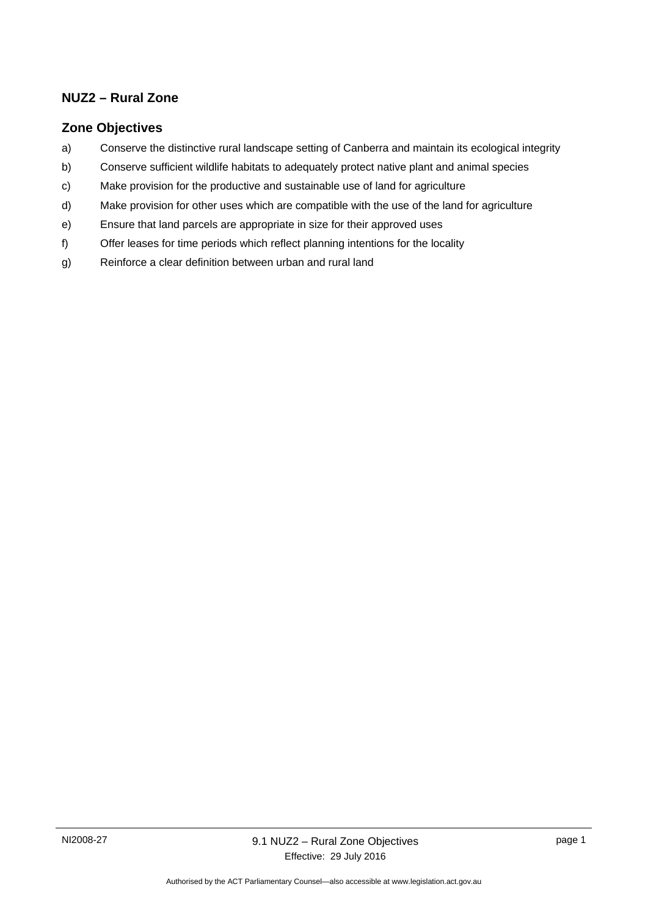## **NUZ2 – Rural Zone**

### **Zone Objectives**

- a) Conserve the distinctive rural landscape setting of Canberra and maintain its ecological integrity
- b) Conserve sufficient wildlife habitats to adequately protect native plant and animal species
- c) Make provision for the productive and sustainable use of land for agriculture
- d) Make provision for other uses which are compatible with the use of the land for agriculture
- e) Ensure that land parcels are appropriate in size for their approved uses
- f) Offer leases for time periods which reflect planning intentions for the locality
- g) Reinforce a clear definition between urban and rural land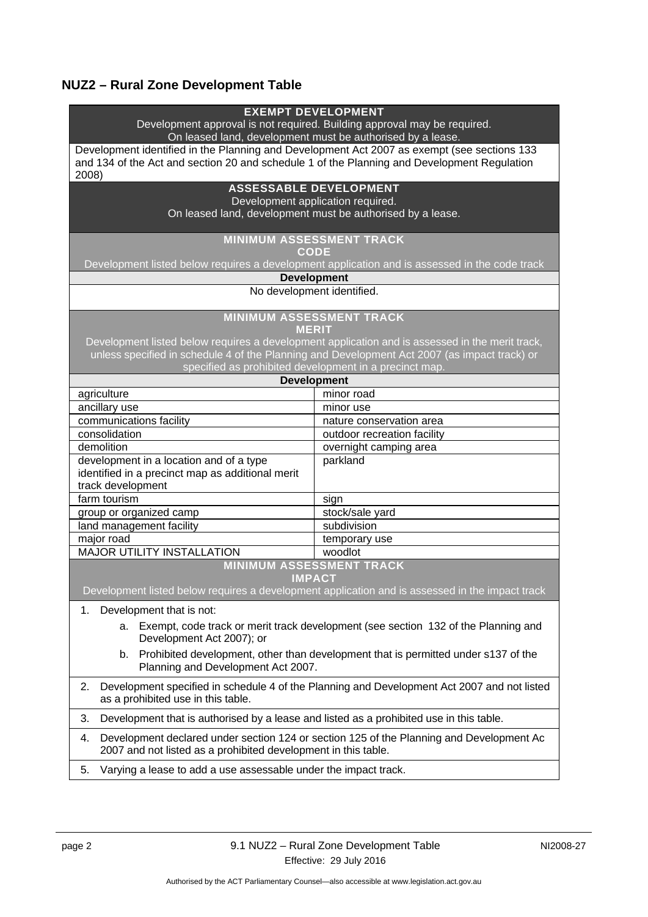# **NUZ2 – Rural Zone Development Table**

| Development identified in the Planning and Development Act 2007 as exempt (see sections 133<br>and 134 of the Act and section 20 and schedule 1 of the Planning and Development Regulation<br>2008)<br><b>ASSESSABLE DEVELOPMENT</b><br>Development application required.<br>On leased land, development must be authorised by a lease.<br><b>MINIMUM ASSESSMENT TRACK</b><br><b>CODE</b><br>Development listed below requires a development application and is assessed in the code track<br><b>Development</b><br>No development identified.<br><b>MINIMUM ASSESSMENT TRACK</b><br><b>MERIT</b><br>Development listed below requires a development application and is assessed in the merit track,<br>unless specified in schedule 4 of the Planning and Development Act 2007 (as impact track) or<br>specified as prohibited development in a precinct map.<br><b>Development</b><br>agriculture<br>minor road<br>ancillary use<br>minor use<br>communications facility<br>nature conservation area<br>consolidation<br>outdoor recreation facility<br>demolition<br>overnight camping area<br>development in a location and of a type<br>parkland<br>identified in a precinct map as additional merit<br>track development<br>farm tourism<br>sign<br>stock/sale yard<br>group or organized camp<br>land management facility<br>subdivision<br>major road<br>temporary use<br>MAJOR UTILITY INSTALLATION<br>woodlot<br><b>MINIMUM ASSESSMENT TRACK</b><br><b>IMPACT</b><br>Development listed below requires a development application and is assessed in the impact track<br>Development that is not:<br>1.<br>a. Exempt, code track or merit track development (see section 132 of the Planning and<br>Development Act 2007); or<br>Prohibited development, other than development that is permitted under s137 of the<br>b.<br>Planning and Development Act 2007.<br>Development specified in schedule 4 of the Planning and Development Act 2007 and not listed<br>2.<br>as a prohibited use in this table.<br>3.<br>Development that is authorised by a lease and listed as a prohibited use in this table.<br>Development declared under section 124 or section 125 of the Planning and Development Ac<br>4.<br>2007 and not listed as a prohibited development in this table.<br>Varying a lease to add a use assessable under the impact track.<br>5. | <b>EXEMPT DEVELOPMENT</b><br>Development approval is not required. Building approval may be required.<br>On leased land, development must be authorised by a lease. |  |  |
|-------------------------------------------------------------------------------------------------------------------------------------------------------------------------------------------------------------------------------------------------------------------------------------------------------------------------------------------------------------------------------------------------------------------------------------------------------------------------------------------------------------------------------------------------------------------------------------------------------------------------------------------------------------------------------------------------------------------------------------------------------------------------------------------------------------------------------------------------------------------------------------------------------------------------------------------------------------------------------------------------------------------------------------------------------------------------------------------------------------------------------------------------------------------------------------------------------------------------------------------------------------------------------------------------------------------------------------------------------------------------------------------------------------------------------------------------------------------------------------------------------------------------------------------------------------------------------------------------------------------------------------------------------------------------------------------------------------------------------------------------------------------------------------------------------------------------------------------------------------------------------------------------------------------------------------------------------------------------------------------------------------------------------------------------------------------------------------------------------------------------------------------------------------------------------------------------------------------------------------------------------------------------------------------------------------------------------------------------------------------|---------------------------------------------------------------------------------------------------------------------------------------------------------------------|--|--|
|                                                                                                                                                                                                                                                                                                                                                                                                                                                                                                                                                                                                                                                                                                                                                                                                                                                                                                                                                                                                                                                                                                                                                                                                                                                                                                                                                                                                                                                                                                                                                                                                                                                                                                                                                                                                                                                                                                                                                                                                                                                                                                                                                                                                                                                                                                                                                                   |                                                                                                                                                                     |  |  |
|                                                                                                                                                                                                                                                                                                                                                                                                                                                                                                                                                                                                                                                                                                                                                                                                                                                                                                                                                                                                                                                                                                                                                                                                                                                                                                                                                                                                                                                                                                                                                                                                                                                                                                                                                                                                                                                                                                                                                                                                                                                                                                                                                                                                                                                                                                                                                                   |                                                                                                                                                                     |  |  |
|                                                                                                                                                                                                                                                                                                                                                                                                                                                                                                                                                                                                                                                                                                                                                                                                                                                                                                                                                                                                                                                                                                                                                                                                                                                                                                                                                                                                                                                                                                                                                                                                                                                                                                                                                                                                                                                                                                                                                                                                                                                                                                                                                                                                                                                                                                                                                                   |                                                                                                                                                                     |  |  |
|                                                                                                                                                                                                                                                                                                                                                                                                                                                                                                                                                                                                                                                                                                                                                                                                                                                                                                                                                                                                                                                                                                                                                                                                                                                                                                                                                                                                                                                                                                                                                                                                                                                                                                                                                                                                                                                                                                                                                                                                                                                                                                                                                                                                                                                                                                                                                                   |                                                                                                                                                                     |  |  |
|                                                                                                                                                                                                                                                                                                                                                                                                                                                                                                                                                                                                                                                                                                                                                                                                                                                                                                                                                                                                                                                                                                                                                                                                                                                                                                                                                                                                                                                                                                                                                                                                                                                                                                                                                                                                                                                                                                                                                                                                                                                                                                                                                                                                                                                                                                                                                                   |                                                                                                                                                                     |  |  |
|                                                                                                                                                                                                                                                                                                                                                                                                                                                                                                                                                                                                                                                                                                                                                                                                                                                                                                                                                                                                                                                                                                                                                                                                                                                                                                                                                                                                                                                                                                                                                                                                                                                                                                                                                                                                                                                                                                                                                                                                                                                                                                                                                                                                                                                                                                                                                                   |                                                                                                                                                                     |  |  |
|                                                                                                                                                                                                                                                                                                                                                                                                                                                                                                                                                                                                                                                                                                                                                                                                                                                                                                                                                                                                                                                                                                                                                                                                                                                                                                                                                                                                                                                                                                                                                                                                                                                                                                                                                                                                                                                                                                                                                                                                                                                                                                                                                                                                                                                                                                                                                                   |                                                                                                                                                                     |  |  |
|                                                                                                                                                                                                                                                                                                                                                                                                                                                                                                                                                                                                                                                                                                                                                                                                                                                                                                                                                                                                                                                                                                                                                                                                                                                                                                                                                                                                                                                                                                                                                                                                                                                                                                                                                                                                                                                                                                                                                                                                                                                                                                                                                                                                                                                                                                                                                                   |                                                                                                                                                                     |  |  |
|                                                                                                                                                                                                                                                                                                                                                                                                                                                                                                                                                                                                                                                                                                                                                                                                                                                                                                                                                                                                                                                                                                                                                                                                                                                                                                                                                                                                                                                                                                                                                                                                                                                                                                                                                                                                                                                                                                                                                                                                                                                                                                                                                                                                                                                                                                                                                                   |                                                                                                                                                                     |  |  |
|                                                                                                                                                                                                                                                                                                                                                                                                                                                                                                                                                                                                                                                                                                                                                                                                                                                                                                                                                                                                                                                                                                                                                                                                                                                                                                                                                                                                                                                                                                                                                                                                                                                                                                                                                                                                                                                                                                                                                                                                                                                                                                                                                                                                                                                                                                                                                                   |                                                                                                                                                                     |  |  |
|                                                                                                                                                                                                                                                                                                                                                                                                                                                                                                                                                                                                                                                                                                                                                                                                                                                                                                                                                                                                                                                                                                                                                                                                                                                                                                                                                                                                                                                                                                                                                                                                                                                                                                                                                                                                                                                                                                                                                                                                                                                                                                                                                                                                                                                                                                                                                                   |                                                                                                                                                                     |  |  |
|                                                                                                                                                                                                                                                                                                                                                                                                                                                                                                                                                                                                                                                                                                                                                                                                                                                                                                                                                                                                                                                                                                                                                                                                                                                                                                                                                                                                                                                                                                                                                                                                                                                                                                                                                                                                                                                                                                                                                                                                                                                                                                                                                                                                                                                                                                                                                                   |                                                                                                                                                                     |  |  |
|                                                                                                                                                                                                                                                                                                                                                                                                                                                                                                                                                                                                                                                                                                                                                                                                                                                                                                                                                                                                                                                                                                                                                                                                                                                                                                                                                                                                                                                                                                                                                                                                                                                                                                                                                                                                                                                                                                                                                                                                                                                                                                                                                                                                                                                                                                                                                                   |                                                                                                                                                                     |  |  |
|                                                                                                                                                                                                                                                                                                                                                                                                                                                                                                                                                                                                                                                                                                                                                                                                                                                                                                                                                                                                                                                                                                                                                                                                                                                                                                                                                                                                                                                                                                                                                                                                                                                                                                                                                                                                                                                                                                                                                                                                                                                                                                                                                                                                                                                                                                                                                                   |                                                                                                                                                                     |  |  |
|                                                                                                                                                                                                                                                                                                                                                                                                                                                                                                                                                                                                                                                                                                                                                                                                                                                                                                                                                                                                                                                                                                                                                                                                                                                                                                                                                                                                                                                                                                                                                                                                                                                                                                                                                                                                                                                                                                                                                                                                                                                                                                                                                                                                                                                                                                                                                                   |                                                                                                                                                                     |  |  |
|                                                                                                                                                                                                                                                                                                                                                                                                                                                                                                                                                                                                                                                                                                                                                                                                                                                                                                                                                                                                                                                                                                                                                                                                                                                                                                                                                                                                                                                                                                                                                                                                                                                                                                                                                                                                                                                                                                                                                                                                                                                                                                                                                                                                                                                                                                                                                                   |                                                                                                                                                                     |  |  |
|                                                                                                                                                                                                                                                                                                                                                                                                                                                                                                                                                                                                                                                                                                                                                                                                                                                                                                                                                                                                                                                                                                                                                                                                                                                                                                                                                                                                                                                                                                                                                                                                                                                                                                                                                                                                                                                                                                                                                                                                                                                                                                                                                                                                                                                                                                                                                                   |                                                                                                                                                                     |  |  |
|                                                                                                                                                                                                                                                                                                                                                                                                                                                                                                                                                                                                                                                                                                                                                                                                                                                                                                                                                                                                                                                                                                                                                                                                                                                                                                                                                                                                                                                                                                                                                                                                                                                                                                                                                                                                                                                                                                                                                                                                                                                                                                                                                                                                                                                                                                                                                                   |                                                                                                                                                                     |  |  |
|                                                                                                                                                                                                                                                                                                                                                                                                                                                                                                                                                                                                                                                                                                                                                                                                                                                                                                                                                                                                                                                                                                                                                                                                                                                                                                                                                                                                                                                                                                                                                                                                                                                                                                                                                                                                                                                                                                                                                                                                                                                                                                                                                                                                                                                                                                                                                                   |                                                                                                                                                                     |  |  |
|                                                                                                                                                                                                                                                                                                                                                                                                                                                                                                                                                                                                                                                                                                                                                                                                                                                                                                                                                                                                                                                                                                                                                                                                                                                                                                                                                                                                                                                                                                                                                                                                                                                                                                                                                                                                                                                                                                                                                                                                                                                                                                                                                                                                                                                                                                                                                                   |                                                                                                                                                                     |  |  |
|                                                                                                                                                                                                                                                                                                                                                                                                                                                                                                                                                                                                                                                                                                                                                                                                                                                                                                                                                                                                                                                                                                                                                                                                                                                                                                                                                                                                                                                                                                                                                                                                                                                                                                                                                                                                                                                                                                                                                                                                                                                                                                                                                                                                                                                                                                                                                                   |                                                                                                                                                                     |  |  |
|                                                                                                                                                                                                                                                                                                                                                                                                                                                                                                                                                                                                                                                                                                                                                                                                                                                                                                                                                                                                                                                                                                                                                                                                                                                                                                                                                                                                                                                                                                                                                                                                                                                                                                                                                                                                                                                                                                                                                                                                                                                                                                                                                                                                                                                                                                                                                                   |                                                                                                                                                                     |  |  |
|                                                                                                                                                                                                                                                                                                                                                                                                                                                                                                                                                                                                                                                                                                                                                                                                                                                                                                                                                                                                                                                                                                                                                                                                                                                                                                                                                                                                                                                                                                                                                                                                                                                                                                                                                                                                                                                                                                                                                                                                                                                                                                                                                                                                                                                                                                                                                                   |                                                                                                                                                                     |  |  |
|                                                                                                                                                                                                                                                                                                                                                                                                                                                                                                                                                                                                                                                                                                                                                                                                                                                                                                                                                                                                                                                                                                                                                                                                                                                                                                                                                                                                                                                                                                                                                                                                                                                                                                                                                                                                                                                                                                                                                                                                                                                                                                                                                                                                                                                                                                                                                                   |                                                                                                                                                                     |  |  |
|                                                                                                                                                                                                                                                                                                                                                                                                                                                                                                                                                                                                                                                                                                                                                                                                                                                                                                                                                                                                                                                                                                                                                                                                                                                                                                                                                                                                                                                                                                                                                                                                                                                                                                                                                                                                                                                                                                                                                                                                                                                                                                                                                                                                                                                                                                                                                                   |                                                                                                                                                                     |  |  |
|                                                                                                                                                                                                                                                                                                                                                                                                                                                                                                                                                                                                                                                                                                                                                                                                                                                                                                                                                                                                                                                                                                                                                                                                                                                                                                                                                                                                                                                                                                                                                                                                                                                                                                                                                                                                                                                                                                                                                                                                                                                                                                                                                                                                                                                                                                                                                                   |                                                                                                                                                                     |  |  |
|                                                                                                                                                                                                                                                                                                                                                                                                                                                                                                                                                                                                                                                                                                                                                                                                                                                                                                                                                                                                                                                                                                                                                                                                                                                                                                                                                                                                                                                                                                                                                                                                                                                                                                                                                                                                                                                                                                                                                                                                                                                                                                                                                                                                                                                                                                                                                                   |                                                                                                                                                                     |  |  |
|                                                                                                                                                                                                                                                                                                                                                                                                                                                                                                                                                                                                                                                                                                                                                                                                                                                                                                                                                                                                                                                                                                                                                                                                                                                                                                                                                                                                                                                                                                                                                                                                                                                                                                                                                                                                                                                                                                                                                                                                                                                                                                                                                                                                                                                                                                                                                                   |                                                                                                                                                                     |  |  |
|                                                                                                                                                                                                                                                                                                                                                                                                                                                                                                                                                                                                                                                                                                                                                                                                                                                                                                                                                                                                                                                                                                                                                                                                                                                                                                                                                                                                                                                                                                                                                                                                                                                                                                                                                                                                                                                                                                                                                                                                                                                                                                                                                                                                                                                                                                                                                                   |                                                                                                                                                                     |  |  |
|                                                                                                                                                                                                                                                                                                                                                                                                                                                                                                                                                                                                                                                                                                                                                                                                                                                                                                                                                                                                                                                                                                                                                                                                                                                                                                                                                                                                                                                                                                                                                                                                                                                                                                                                                                                                                                                                                                                                                                                                                                                                                                                                                                                                                                                                                                                                                                   |                                                                                                                                                                     |  |  |
|                                                                                                                                                                                                                                                                                                                                                                                                                                                                                                                                                                                                                                                                                                                                                                                                                                                                                                                                                                                                                                                                                                                                                                                                                                                                                                                                                                                                                                                                                                                                                                                                                                                                                                                                                                                                                                                                                                                                                                                                                                                                                                                                                                                                                                                                                                                                                                   |                                                                                                                                                                     |  |  |
|                                                                                                                                                                                                                                                                                                                                                                                                                                                                                                                                                                                                                                                                                                                                                                                                                                                                                                                                                                                                                                                                                                                                                                                                                                                                                                                                                                                                                                                                                                                                                                                                                                                                                                                                                                                                                                                                                                                                                                                                                                                                                                                                                                                                                                                                                                                                                                   |                                                                                                                                                                     |  |  |
|                                                                                                                                                                                                                                                                                                                                                                                                                                                                                                                                                                                                                                                                                                                                                                                                                                                                                                                                                                                                                                                                                                                                                                                                                                                                                                                                                                                                                                                                                                                                                                                                                                                                                                                                                                                                                                                                                                                                                                                                                                                                                                                                                                                                                                                                                                                                                                   |                                                                                                                                                                     |  |  |
|                                                                                                                                                                                                                                                                                                                                                                                                                                                                                                                                                                                                                                                                                                                                                                                                                                                                                                                                                                                                                                                                                                                                                                                                                                                                                                                                                                                                                                                                                                                                                                                                                                                                                                                                                                                                                                                                                                                                                                                                                                                                                                                                                                                                                                                                                                                                                                   |                                                                                                                                                                     |  |  |